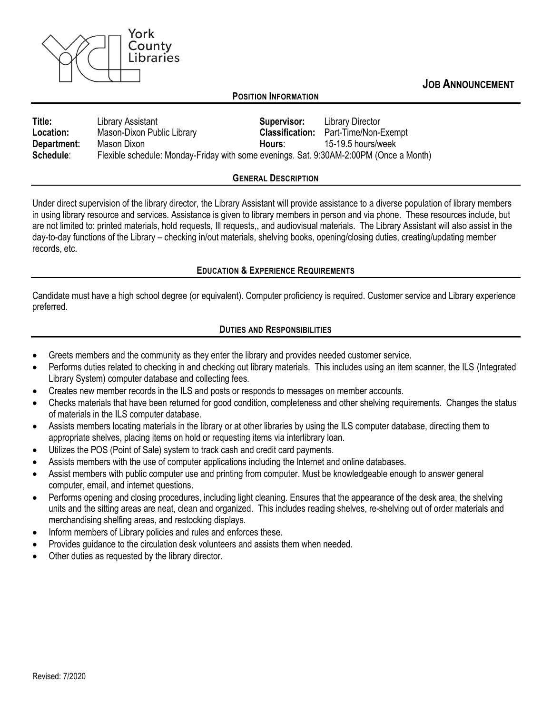

**JOB ANNOUNCEMENT**

### **POSITION INFORMATION**

| Title:           | Library Assistant                                                                      | Supervisor:            | <b>Library Director</b> |
|------------------|----------------------------------------------------------------------------------------|------------------------|-------------------------|
| <b>Location:</b> | Mason-Dixon Public Library                                                             | <b>Classification:</b> | Part-Time/Non-Exempt    |
| Department:      | Mason Dixon                                                                            | Hours:                 | 15-19.5 hours/week      |
| Schedule:        | Flexible schedule: Monday-Friday with some evenings. Sat. 9:30AM-2:00PM (Once a Month) |                        |                         |

#### **GENERAL DESCRIPTION**

Under direct supervision of the library director, the Library Assistant will provide assistance to a diverse population of library members in using library resource and services. Assistance is given to library members in person and via phone. These resources include, but are not limited to: printed materials, hold requests, Ill requests,, and audiovisual materials. The Library Assistant will also assist in the day-to-day functions of the Library – checking in/out materials, shelving books, opening/closing duties, creating/updating member records, etc.

#### **EDUCATION & EXPERIENCE REQUIREMENTS**

Candidate must have a high school degree (or equivalent). Computer proficiency is required. Customer service and Library experience preferred.

## **DUTIES AND RESPONSIBILITIES**

- Greets members and the community as they enter the library and provides needed customer service.
- Performs duties related to checking in and checking out library materials. This includes using an item scanner, the ILS (Integrated Library System) computer database and collecting fees.
- Creates new member records in the ILS and posts or responds to messages on member accounts.
- Checks materials that have been returned for good condition, completeness and other shelving requirements. Changes the status of materials in the ILS computer database.
- Assists members locating materials in the library or at other libraries by using the ILS computer database, directing them to appropriate shelves, placing items on hold or requesting items via interlibrary loan.
- Utilizes the POS (Point of Sale) system to track cash and credit card payments.
- Assists members with the use of computer applications including the Internet and online databases.
- Assist members with public computer use and printing from computer. Must be knowledgeable enough to answer general computer, email, and internet questions.
- Performs opening and closing procedures, including light cleaning. Ensures that the appearance of the desk area, the shelving units and the sitting areas are neat, clean and organized. This includes reading shelves, re-shelving out of order materials and merchandising shelfing areas, and restocking displays.
- Inform members of Library policies and rules and enforces these.
- Provides guidance to the circulation desk volunteers and assists them when needed.
- Other duties as requested by the library director.